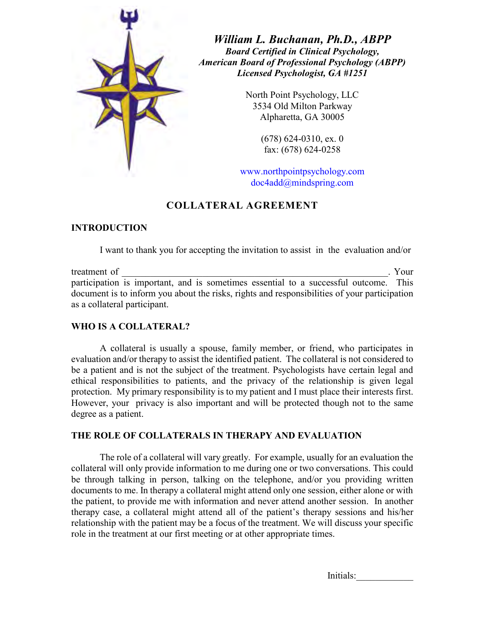

*William L. Buchanan, Ph.D., ABPP Board Certified in Clinical Psychology, American Board of Professional Psychology (ABPP) Licensed Psychologist, GA #1251*

> North Point Psychology, LLC 3534 Old Milton Parkway Alpharetta, GA 30005

> > (678) 624-0310, ex. 0 fax: (678) 624-0258

www.northpointpsychology.com doc4add@mindspring.com

# **COLLATERAL AGREEMENT**

# **INTRODUCTION**

I want to thank you for accepting the invitation to assist in the evaluation and/or

treatment of \_\_\_\_\_\_\_\_\_\_\_\_\_\_\_\_\_\_\_\_\_\_\_\_\_\_\_\_\_\_\_\_\_\_\_\_\_\_\_\_\_\_\_\_\_\_\_\_\_\_\_\_\_\_\_\_. Your participation is important, and is sometimes essential to a successful outcome. This document is to inform you about the risks, rights and responsibilities of your participation as a collateral participant.

# **WHO IS A COLLATERAL?**

A collateral is usually a spouse, family member, or friend, who participates in evaluation and/or therapy to assist the identified patient. The collateral is not considered to be a patient and is not the subject of the treatment. Psychologists have certain legal and ethical responsibilities to patients, and the privacy of the relationship is given legal protection. My primary responsibility is to my patient and I must place their interests first. However, your privacy is also important and will be protected though not to the same degree as a patient.

# **THE ROLE OF COLLATERALS IN THERAPY AND EVALUATION**

The role of a collateral will vary greatly. For example, usually for an evaluation the collateral will only provide information to me during one or two conversations. This could be through talking in person, talking on the telephone, and/or you providing written documents to me. In therapy a collateral might attend only one session, either alone or with the patient, to provide me with information and never attend another session. In another therapy case, a collateral might attend all of the patient's therapy sessions and his/her relationship with the patient may be a focus of the treatment. We will discuss your specific role in the treatment at our first meeting or at other appropriate times.

Initials:\_\_\_\_\_\_\_\_\_\_\_\_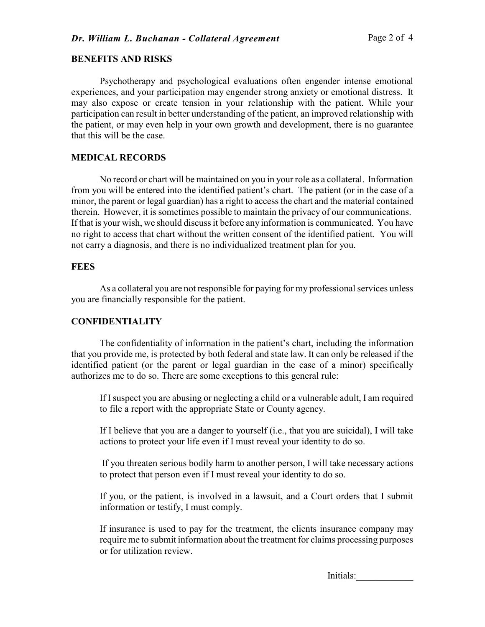#### **BENEFITS AND RISKS**

Psychotherapy and psychological evaluations often engender intense emotional experiences, and your participation may engender strong anxiety or emotional distress. It may also expose or create tension in your relationship with the patient. While your participation can result in better understanding of the patient, an improved relationship with the patient, or may even help in your own growth and development, there is no guarantee that this will be the case.

## **MEDICAL RECORDS**

No record or chart will be maintained on you in your role as a collateral. Information from you will be entered into the identified patient's chart. The patient (or in the case of a minor, the parent or legal guardian) has a right to access the chart and the material contained therein. However, it is sometimes possible to maintain the privacy of our communications. If that is your wish, we should discuss it before any information is communicated. You have no right to access that chart without the written consent of the identified patient. You will not carry a diagnosis, and there is no individualized treatment plan for you.

# **FEES**

As a collateral you are not responsible for paying for my professional services unless you are financially responsible for the patient.

## **CONFIDENTIALITY**

The confidentiality of information in the patient's chart, including the information that you provide me, is protected by both federal and state law. It can only be released if the identified patient (or the parent or legal guardian in the case of a minor) specifically authorizes me to do so. There are some exceptions to this general rule:

If I suspect you are abusing or neglecting a child or a vulnerable adult, I am required to file a report with the appropriate State or County agency.

If I believe that you are a danger to yourself (i.e., that you are suicidal), I will take actions to protect your life even if I must reveal your identity to do so.

 If you threaten serious bodily harm to another person, I will take necessary actions to protect that person even if I must reveal your identity to do so.

If you, or the patient, is involved in a lawsuit, and a Court orders that I submit information or testify, I must comply.

If insurance is used to pay for the treatment, the clients insurance company may require me to submit information about the treatment for claims processing purposes or for utilization review.

Initials:\_\_\_\_\_\_\_\_\_\_\_\_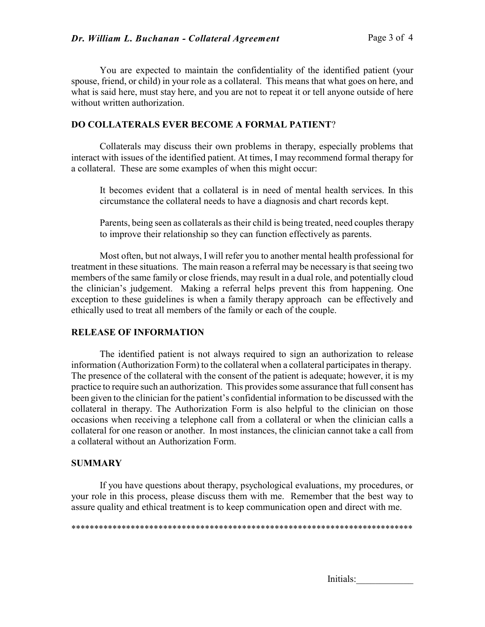You are expected to maintain the confidentiality of the identified patient (your spouse, friend, or child) in your role as a collateral. This means that what goes on here, and what is said here, must stay here, and you are not to repeat it or tell anyone outside of here without written authorization

### **DO COLLATERALS EVER BECOME A FORMAL PATIENT**?

Collaterals may discuss their own problems in therapy, especially problems that interact with issues of the identified patient. At times, I may recommend formal therapy for a collateral. These are some examples of when this might occur:

It becomes evident that a collateral is in need of mental health services. In this circumstance the collateral needs to have a diagnosis and chart records kept.

 Parents, being seen as collaterals as their child is being treated, need couples therapy to improve their relationship so they can function effectively as parents.

Most often, but not always, I will refer you to another mental health professional for treatment in these situations. The main reason a referral may be necessary is that seeing two members of the same family or close friends, may result in a dual role, and potentially cloud the clinician's judgement. Making a referral helps prevent this from happening. One exception to these guidelines is when a family therapy approach can be effectively and ethically used to treat all members of the family or each of the couple.

### **RELEASE OF INFORMATION**

The identified patient is not always required to sign an authorization to release information (Authorization Form) to the collateral when a collateral participates in therapy. The presence of the collateral with the consent of the patient is adequate; however, it is my practice to require such an authorization. This provides some assurance that full consent has been given to the clinician for the patient's confidential information to be discussed with the collateral in therapy. The Authorization Form is also helpful to the clinician on those occasions when receiving a telephone call from a collateral or when the clinician calls a collateral for one reason or another. In most instances, the clinician cannot take a call from a collateral without an Authorization Form.

## **SUMMARY**

If you have questions about therapy, psychological evaluations, my procedures, or your role in this process, please discuss them with me. Remember that the best way to assure quality and ethical treatment is to keep communication open and direct with me.

\*\*\*\*\*\*\*\*\*\*\*\*\*\*\*\*\*\*\*\*\*\*\*\*\*\*\*\*\*\*\*\*\*\*\*\*\*\*\*\*\*\*\*\*\*\*\*\*\*\*\*\*\*\*\*\*\*\*\*\*\*\*\*\*\*\*\*\*\*\*\*\*\*\*

Initials: